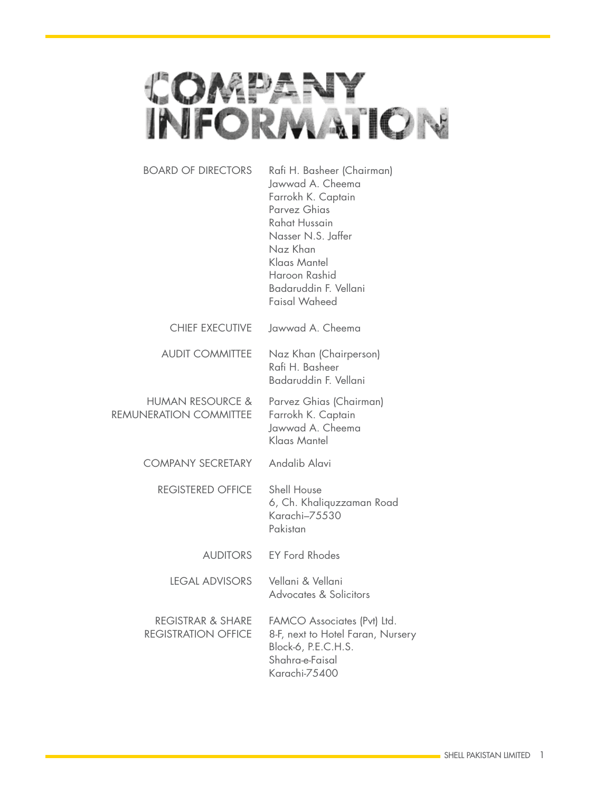

| <b>BOARD OF DIRECTORS</b>                                  | Rafi H. Basheer (Chairman)<br>Jawwad A. Cheema<br>Farrokh K. Captain<br>Parvez Ghias<br>Rahat Hussain<br>Nasser N.S. Jaffer<br>Naz Khan<br>Klaas Mantel<br>Haroon Rashid<br>Badaruddin F. Vellani<br>Faisal Waheed |
|------------------------------------------------------------|--------------------------------------------------------------------------------------------------------------------------------------------------------------------------------------------------------------------|
| CHIEF EXECUTIVE                                            | Jawwad A. Cheema                                                                                                                                                                                                   |
| <b>AUDIT COMMITTEE</b>                                     | Naz Khan (Chairperson)<br>Rafi H. Basheer<br>Badaruddin F. Vellani                                                                                                                                                 |
| <b>HUMAN RESOURCE &amp;</b><br>REMUNERATION COMMITTEE      | Parvez Ghias (Chairman)<br>Farrokh K. Captain<br>Jawwad A. Cheema<br>Klaas Mantel                                                                                                                                  |
| <b>COMPANY SECRETARY</b>                                   | Andalib Alavi                                                                                                                                                                                                      |
| <b>REGISTERED OFFICE</b>                                   | Shell House<br>6, Ch. Khaliquzzaman Road<br>Karachi-75530<br>Pakistan                                                                                                                                              |
| AUDITORS                                                   | <b>EY Ford Rhodes</b>                                                                                                                                                                                              |
| <b>LEGAL ADVISORS</b>                                      | Vellani & Vellani<br>Advocates & Solicitors                                                                                                                                                                        |
| <b>REGISTRAR &amp; SHARE</b><br><b>REGISTRATION OFFICE</b> | FAMCO Associates (Pvt) Ltd.<br>8-F, next to Hotel Faran, Nursery<br>Block-6, P.E.C.H.S.<br>Shahra-e-Faisal<br>Karachi-75400                                                                                        |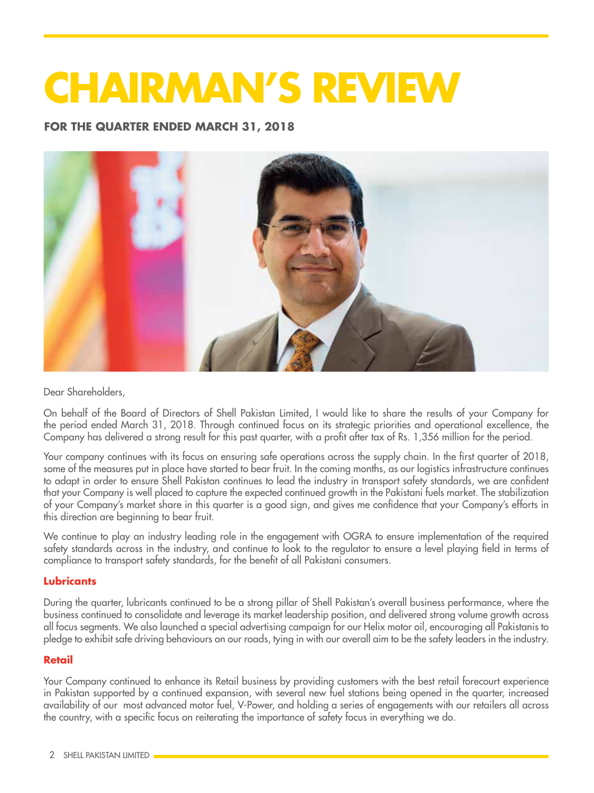# **CHAIRMAN'S REVIEW**

**FOR THE QUARTER ENDED MARCH 31, 2018**



Dear Shareholders,

On behalf of the Board of Directors of Shell Pakistan Limited, I would like to share the results of your Company for the period ended March 31, 2018. Through continued focus on its strategic priorities and operational excellence, the Company has delivered a strong result for this past quarter, with a profit after tax of Rs. 1,356 million for the period.

Your company continues with its focus on ensuring safe operations across the supply chain. In the first quarter of 2018, some of the measures put in place have started to bear fruit. In the coming months, as our logistics infrastructure continues to adapt in order to ensure Shell Pakistan continues to lead the industry in transport safety standards, we are confident that your Company is well placed to capture the expected continued growth in the Pakistani fuels market. The stabilization of your Company's market share in this quarter is a good sign, and gives me confidence that your Company's efforts in this direction are beginning to bear fruit.

We continue to play an industry leading role in the engagement with OGRA to ensure implementation of the required safety standards across in the industry, and continue to look to the regulator to ensure a level playing field in terms of compliance to transport safety standards, for the benefit of all Pakistani consumers.

#### **Lubricants**

During the quarter, lubricants continued to be a strong pillar of Shell Pakistan's overall business performance, where the business continued to consolidate and leverage its market leadership position, and delivered strong volume growth across all focus segments. We also launched a special advertising campaign for our Helix motor oil, encouraging all Pakistanis to pledge to exhibit safe driving behaviours on our roads, tying in with our overall aim to be the safety leaders in the industry.

#### **Retail**

Your Company continued to enhance its Retail business by providing customers with the best retail forecourt experience in Pakistan supported by a continued expansion, with several new fuel stations being opened in the quarter, increased availability of our most advanced motor fuel, V-Power, and holding a series of engagements with our retailers all across the country, with a specific focus on reiterating the importance of safety focus in everything we do.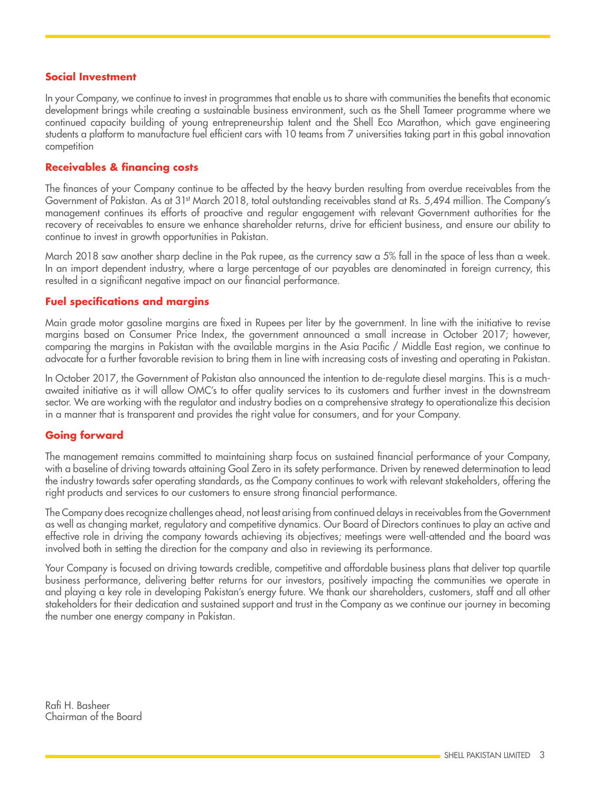#### **Social Investment**

In your Company, we continue to invest in programmes that enable us to share with communities the benefits that economic development brings while creating a sustainable business environment, such as the Shell Tameer programme where we continued capacity building of young entrepreneurship talent and the Shell Eco Marathon, which gave engineering students a platform to manufacture fuel efficient cars with 10 teams from 7 universities taking part in this gobal innovation competition

#### **Receivables & financing costs**

The finances of your Company continue to be affected by the heavy burden resulting from overdue receivables from the Government of Pakistan. As at 31st March 2018, total outstanding receivables stand at Rs. 5,494 million. The Company's management continues its efforts of proactive and regular engagement with relevant Government authorities for the recovery of receivables to ensure we enhance shareholder returns, drive for efficient business, and ensure our ability to continue to invest in growth opportunities in Pakistan.

March 2018 saw another sharp decline in the Pak rupee, as the currency saw a 5% fall in the space of less than a week. In an import dependent industry, where a large percentage of our payables are denominated in foreign currency, this resulted in a significant negative impact on our financial performance.

#### **Fuel specifications and margins**

Main grade motor gasoline margins are fixed in Rupees per liter by the government. In line with the initiative to revise margins based on Consumer Price Index, the government announced a small increase in October 2017; however, comparing the margins in Pakistan with the available margins in the Asia Pacific / Middle East region, we continue to advocate for a further favorable revision to bring them in line with increasing costs of investing and operating in Pakistan.

In October 2017, the Government of Pakistan also announced the intention to de-regulate diesel margins. This is a muchawaited initiative as it will allow OMC's to offer quality services to its customers and further invest in the downstream sector. We are working with the regulator and industry bodies on a comprehensive strategy to operationalize this decision in a manner that is transparent and provides the right value for consumers, and for your Company.

#### **Going forward**

The management remains committed to maintaining sharp focus on sustained financial performance of your Company, with a baseline of driving towards attaining Goal Zero in its safety performance. Driven by renewed determination to lead the industry towards safer operating standards, as the Company continues to work with relevant stakeholders, offering the right products and services to our customers to ensure strong financial performance.

The Company does recognize challenges ahead, not least arising from continued delays in receivables from the Government as well as changing market, regulatory and competitive dynamics. Our Board of Directors continues to play an active and effective role in driving the company towards achieving its objectives; meetings were well-attended and the board was involved both in setting the direction for the company and also in reviewing its performance.

Your Company is focused on driving towards credible, competitive and affordable business plans that deliver top quartile business performance, delivering better returns for our investors, positively impacting the communities we operate in and playing a key role in developing Pakistan's energy future. We thank our shareholders, customers, staff and all other stakeholders for their dedication and sustained support and trust in the Company as we continue our journey in becoming the number one energy company in Pakistan.

Rafi H. Basheer Chairman of the Board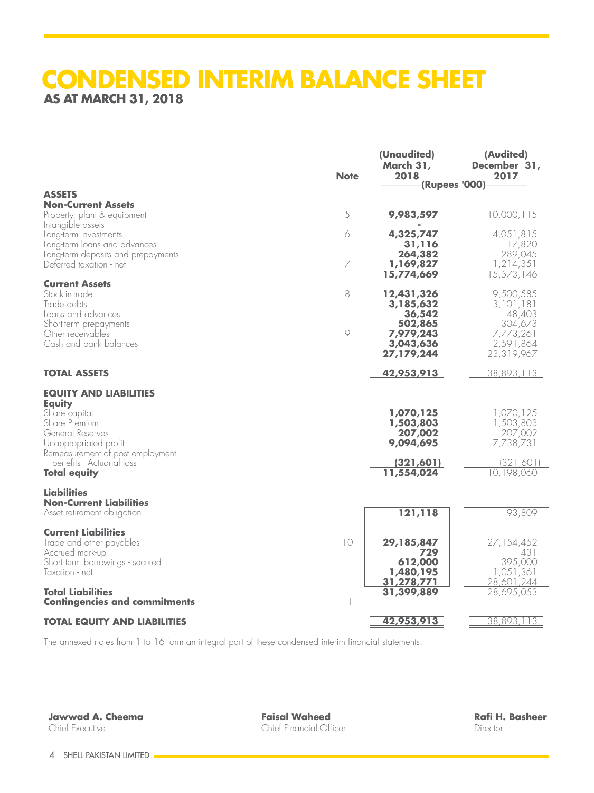## **CONDENSED INTERIM BALANCE SHEET AS AT MARCH 31, 2018**

|                                                                    | <b>Note</b>              | (Unaudited)<br>March 31,<br>2018 | (Audited)<br>December 31,<br>2017 |
|--------------------------------------------------------------------|--------------------------|----------------------------------|-----------------------------------|
|                                                                    |                          |                                  | (Rupees '000)                     |
| <b>ASSETS</b><br><b>Non-Current Assets</b>                         |                          |                                  |                                   |
| Property, plant & equipment<br>Intangible assets                   | 5                        | 9,983,597                        | 10,000,115                        |
| Long-term investments                                              | 6                        | 4,325,747                        | 4,051,815                         |
| Long-term loans and advances<br>Long-term deposits and prepayments |                          | 31,116<br>264,382                | 17,820<br>289,045                 |
| Deferred taxation - net                                            | $\overline{ }$           | 1,169,827                        | 1,214,351                         |
| <b>Current Assets</b>                                              |                          | 15,774,669                       | 15,573,146                        |
| Stock-in-trade                                                     | 8                        | 12,431,326                       | 9,500,585                         |
| Trade debts<br>Loans and advances                                  |                          | 3,185,632<br>36,542              | 3,101,181<br>48,403               |
| Short-term prepayments                                             |                          | 502,865                          | 304,673                           |
| Other receivables                                                  | $\circ$                  | 7,979,243                        | 7,773,261                         |
| Cash and bank balances                                             |                          | 3,043,636<br>27,179,244          | 2,591,864<br>23,319,967           |
|                                                                    |                          |                                  |                                   |
| <b>TOTAL ASSETS</b>                                                |                          | 42,953,913                       | 38,893,113                        |
| <b>EQUITY AND LIABILITIES</b>                                      |                          |                                  |                                   |
| <b>Equity</b><br>Share capital                                     |                          | 1,070,125                        | 1,070,125                         |
| Share Premium                                                      |                          | 1,503,803                        | 1,503,803                         |
| General Reserves                                                   |                          | 207,002                          | 207,002                           |
| Unappropriated profit<br>Remeasurement of post employment          |                          | 9,094,695                        | 7,738,731                         |
| benefits - Actuarial loss                                          |                          | (321, 601)                       | (321,601)                         |
| <b>Total equity</b>                                                |                          | 11,554,024                       | 10,198,060                        |
| Liabilities                                                        |                          |                                  |                                   |
| <b>Non-Current Liabilities</b><br>Asset retirement obligation      |                          | 121,118                          | 93,809                            |
|                                                                    |                          |                                  |                                   |
| <b>Current Liabilities</b><br>Trade and other payables             | $\overline{\phantom{0}}$ | 29,185,847                       | 27, 154, 452                      |
| Accrued mark-up                                                    |                          | 729                              | 431                               |
| Short term borrowings - secured<br>Taxation - net                  |                          | 612,000<br>1,480,195             | 395,000<br>1,051,361              |
|                                                                    |                          | 31,278,771                       | 28,601,244                        |
| <b>Total Liabilities</b><br><b>Contingencies and commitments</b>   | $\lceil \rceil$          | 31,399,889                       | 28,695,053                        |
|                                                                    |                          |                                  |                                   |
| <b>TOTAL EQUITY AND LIABILITIES</b>                                |                          | 42,953,913                       | 38,893,113                        |

The annexed notes from 1 to 16 form an integral part of these condensed interim financial statements.

**Jawwad A. Cheema** Chief Executive

**Faisal Waheed** Chief Financial Officer

**Rafi H. Basheer** Director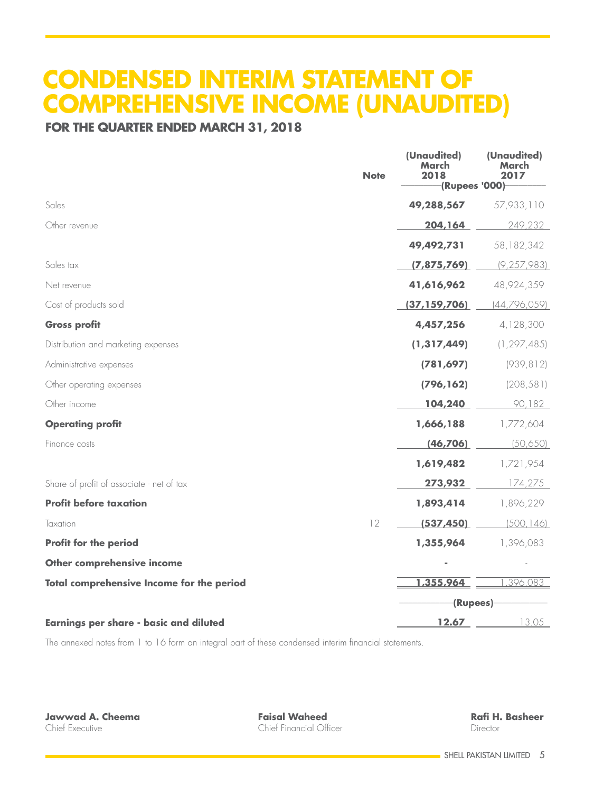# **CONDENSED INTERIM STATEMENT OF COMPREHENSIVE INCOME (UNAUDITED)**

### **FOR THE QUARTER ENDED MARCH 31, 2018**

|                                                  | <b>Note</b> | (Unaudited)<br>March<br>2018 | (Unaudited)<br>March<br>2017 |
|--------------------------------------------------|-------------|------------------------------|------------------------------|
|                                                  |             | (Rupees '000)                |                              |
| Sales                                            |             | 49,288,567                   | 57,933,110                   |
| Other revenue                                    |             | 204,164                      | 249,232                      |
|                                                  |             | 49,492,731                   | 58, 182, 342                 |
| Sales tax                                        |             | (7,875,769)                  | (9, 257, 983)                |
| Net revenue                                      |             | 41,616,962                   | 48,924,359                   |
| Cost of products sold                            |             | (37, 159, 706)               | [44, 796, 059]               |
| <b>Gross profit</b>                              |             | 4,457,256                    | 4,128,300                    |
| Distribution and marketing expenses              |             | (1, 317, 449)                | (1, 297, 485)                |
| Administrative expenses                          |             | (781, 697)                   | (939, 812)                   |
| Other operating expenses                         |             | (796, 162)                   | (208, 581)                   |
| Other income                                     |             | 104,240                      | 90,182                       |
| <b>Operating profit</b>                          |             | 1,666,188                    | 1,772,604                    |
| Finance costs                                    |             | (46, 706)                    | (50,650)                     |
|                                                  |             | 1,619,482                    | 1,721,954                    |
| Share of profit of associate - net of tax        |             | 273,932                      | 174,275                      |
| <b>Profit before taxation</b>                    |             | 1,893,414                    | 1,896,229                    |
| Taxation                                         | 12          | (537, 450)                   | (500, 146)                   |
| <b>Profit for the period</b>                     |             | 1,355,964                    | 1,396,083                    |
| Other comprehensive income                       |             |                              |                              |
| <b>Total comprehensive Income for the period</b> |             | 1,355,964                    | ,396,083                     |
|                                                  |             | -(Rupees)-                   |                              |
| <b>Earnings per share - basic and diluted</b>    |             | 12.67                        | 13.05                        |

The annexed notes from 1 to 16 form an integral part of these condensed interim financial statements.

**Jawwad A. Cheema** Chief Executive

**Faisal Waheed** Chief Financial Officer

**Rafi H. Basheer** Director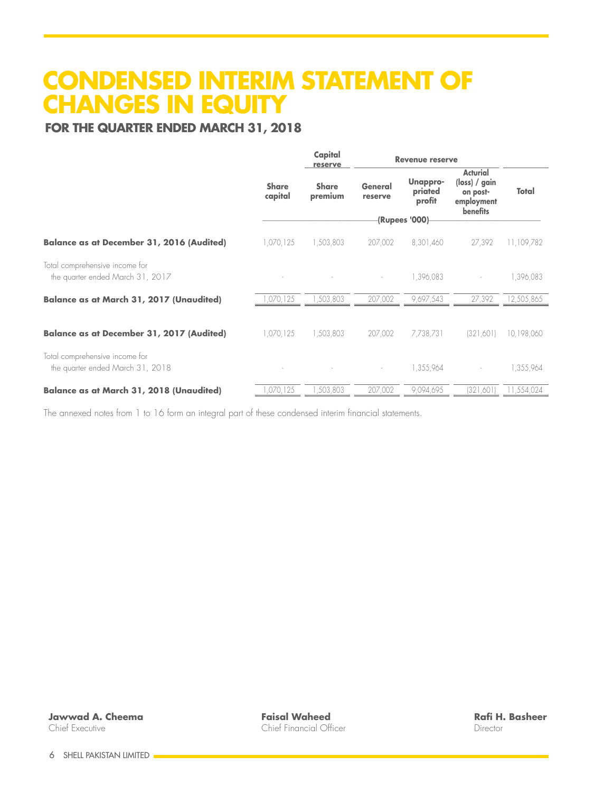# **CONDENSED INTERIM STATEMENT OF CHANGES IN EQUITY**<br>FOR THE QUARTER ENDED MARCH 31, 2018

|                                                                    |                         | Capital                 | <b>Revenue reserve</b> |                               |                                                                                                   |            | reserve |  |  |
|--------------------------------------------------------------------|-------------------------|-------------------------|------------------------|-------------------------------|---------------------------------------------------------------------------------------------------|------------|---------|--|--|
|                                                                    | <b>Share</b><br>capital | <b>Share</b><br>premium | General<br>reserve     | Unappro-<br>priated<br>profit | <b>Acturial</b><br>$(\mathsf{loss}) / \mathsf{gain}$<br>on post-<br>employment<br><b>benefits</b> | Total      |         |  |  |
|                                                                    |                         |                         |                        | (Rupees '000)-                |                                                                                                   |            |         |  |  |
| <b>Balance as at December 31, 2016 (Audited)</b>                   | 1,070,125               | 1,503,803               | 207,002                | 8,301,460                     | 27,392                                                                                            | 11,109,782 |         |  |  |
| Total comprehensive income for<br>the quarter ended March 31, 2017 |                         |                         |                        | 1,396,083                     |                                                                                                   | 1,396,083  |         |  |  |
| <b>Balance as at March 31, 2017 (Unaudited)</b>                    | ,070,125                | ,503,803                | 207,002                | 9,697,543                     | 27,392                                                                                            | 12,505,865 |         |  |  |
| <b>Balance as at December 31, 2017 (Audited)</b>                   | 1,070,125               | 1,503,803               | 207,002                | 7,738,731                     | (321,601)                                                                                         | 10,198,060 |         |  |  |
| Total comprehensive income for<br>the quarter ended March 31, 2018 |                         |                         |                        | 1,355,964                     |                                                                                                   | 1,355,964  |         |  |  |
| <b>Balance as at March 31, 2018 (Unaudited)</b>                    | ,070,125                | ,503,803                | 207,002                | 9,094,695                     | (321,601)                                                                                         | 11,554,024 |         |  |  |

The annexed notes from 1 to 16 form an integral part of these condensed interim financial statements.

**Faisal Waheed** Chief Financial Officer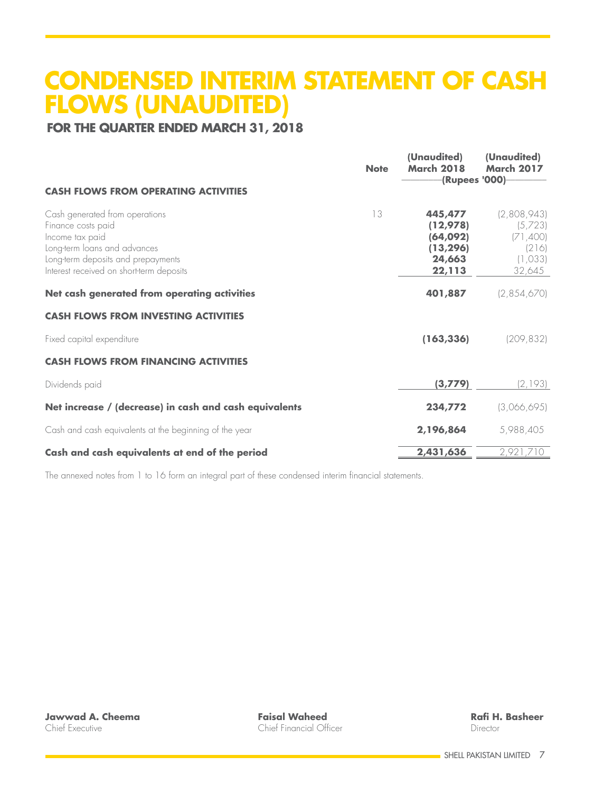# **CONDENSED INTERIM STATEMENT OF CASH FLOWS (UNAUDITED)**

## **FOR THE QUARTER ENDED MARCH 31, 2018**

|                                                                                                                                                                                           | <b>Note</b> | (Unaudited)<br><b>March 2018</b><br>(Rupees '000)-                | (Unaudited)<br><b>March 2017</b>                                 |
|-------------------------------------------------------------------------------------------------------------------------------------------------------------------------------------------|-------------|-------------------------------------------------------------------|------------------------------------------------------------------|
| <b>CASH FLOWS FROM OPERATING ACTIVITIES</b>                                                                                                                                               |             |                                                                   |                                                                  |
| Cash generated from operations<br>Finance costs paid<br>Income tax paid<br>Long-term loans and advances<br>Long-term deposits and prepayments<br>Interest received on short-term deposits | 13          | 445,477<br>(12, 978)<br>(64,092)<br>(13, 296)<br>24,663<br>22,113 | (2,808,943)<br>(5,723)<br>(71,400)<br>(216)<br>(1,033)<br>32,645 |
| Net cash generated from operating activities                                                                                                                                              |             | 401,887                                                           | (2,854,670)                                                      |
| <b>CASH FLOWS FROM INVESTING ACTIVITIES</b>                                                                                                                                               |             |                                                                   |                                                                  |
| Fixed capital expenditure                                                                                                                                                                 |             | (163, 336)                                                        | (209, 832)                                                       |
| <b>CASH FLOWS FROM FINANCING ACTIVITIES</b>                                                                                                                                               |             |                                                                   |                                                                  |
| Dividends paid                                                                                                                                                                            |             | (3, 779)                                                          | (2,193)                                                          |
| Net increase / (decrease) in cash and cash equivalents                                                                                                                                    |             | 234,772                                                           | (3,066,695)                                                      |
| Cash and cash equivalents at the beginning of the year                                                                                                                                    |             | 2,196,864                                                         | 5,988,405                                                        |
| Cash and cash equivalents at end of the period                                                                                                                                            |             | 2,431,636                                                         | 2,921,710                                                        |

The annexed notes from 1 to 16 form an integral part of these condensed interim financial statements.

**Faisal Waheed** Chief Financial Officer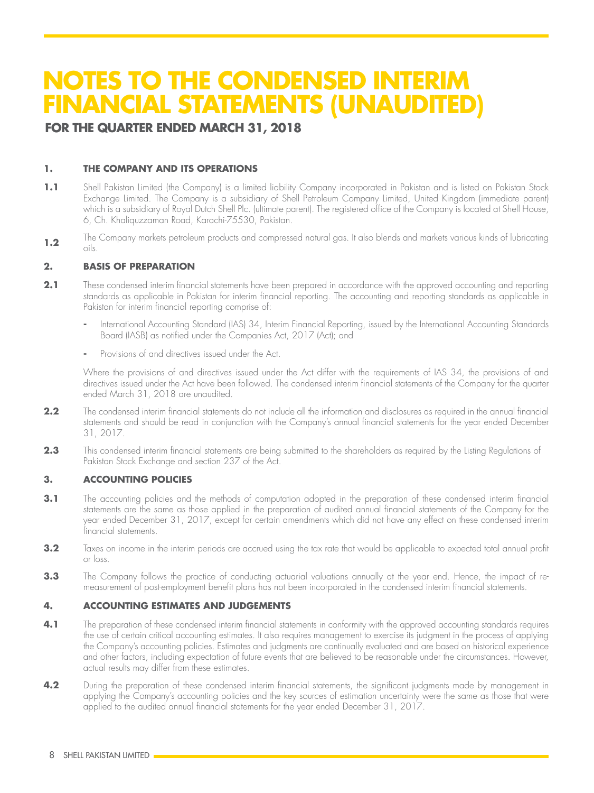# **NOTES TO THE CONDENSED INTERIM FINANCIAL STATEMENTS (UNAUDITED)**

### **FOR THE QUARTER ENDED MARCH 31, 2018**

#### **1. THE COMPANY AND ITS OPERATIONS**

- 1.1 Shell Pakistan Limited (the Company) is a limited liability Company incorporated in Pakistan and is listed on Pakistan Stock Exchange Limited. The Company is a subsidiary of Shell Petroleum Company Limited, United Kingdom (immediate parent) which is a subsidiary of Royal Dutch Shell Plc. (ultimate parent). The registered office of the Company is located at Shell House, 6, Ch. Khaliquzzaman Road, Karachi-75530, Pakistan.
- **1.2** The Company markets petroleum products and compressed natural gas. It also blends and markets various kinds of lubricating oils.

#### **2. BASIS OF PREPARATION**

- **2.1** These condensed interim financial statements have been prepared in accordance with the approved accounting and reporting standards as applicable in Pakistan for interim financial reporting. The accounting and reporting standards as applicable in Pakistan for interim financial reporting comprise of:
	- **-** International Accounting Standard (IAS) 34, Interim Financial Reporting, issued by the International Accounting Standards Board (IASB) as notified under the Companies Act, 2017 (Act); and
	- **-** Provisions of and directives issued under the Act.

Where the provisions of and directives issued under the Act differ with the requirements of IAS 34, the provisions of and directives issued under the Act have been followed. The condensed interim financial statements of the Company for the quarter ended March 31, 2018 are unaudited.

- **2.2** The condensed interim financial statements do not include all the information and disclosures as required in the annual financial statements and should be read in conjunction with the Company's annual financial statements for the year ended December 31, 2017.
- **2.3** This condensed interim financial statements are being submitted to the shareholders as required by the Listing Regulations of Pakistan Stock Exchange and section 237 of the Act.

#### **3. ACCOUNTING POLICIES**

- **3.1** The accounting policies and the methods of computation adopted in the preparation of these condensed interim financial statements are the same as those applied in the preparation of audited annual financial statements of the Company for the year ended December 31, 2017, except for certain amendments which did not have any effect on these condensed interim financial statements.
- **3.2** Taxes on income in the interim periods are accrued using the tax rate that would be applicable to expected total annual profit or loss.
- **3.3** The Company follows the practice of conducting actuarial valuations annually at the year end. Hence, the impact of remeasurement of post-employment benefit plans has not been incorporated in the condensed interim financial statements.

#### **4. ACCOUNTING ESTIMATES AND JUDGEMENTS**

- **4.1** The preparation of these condensed interim financial statements in conformity with the approved accounting standards requires the use of certain critical accounting estimates. It also requires management to exercise its judgment in the process of applying the Company's accounting policies. Estimates and judgments are continually evaluated and are based on historical experience and other factors, including expectation of future events that are believed to be reasonable under the circumstances. However, actual results may differ from these estimates.
- **4.2** During the preparation of these condensed interim financial statements, the significant judgments made by management in applying the Company's accounting policies and the key sources of estimation uncertainty were the same as those that were applied to the audited annual financial statements for the year ended December 31, 2017.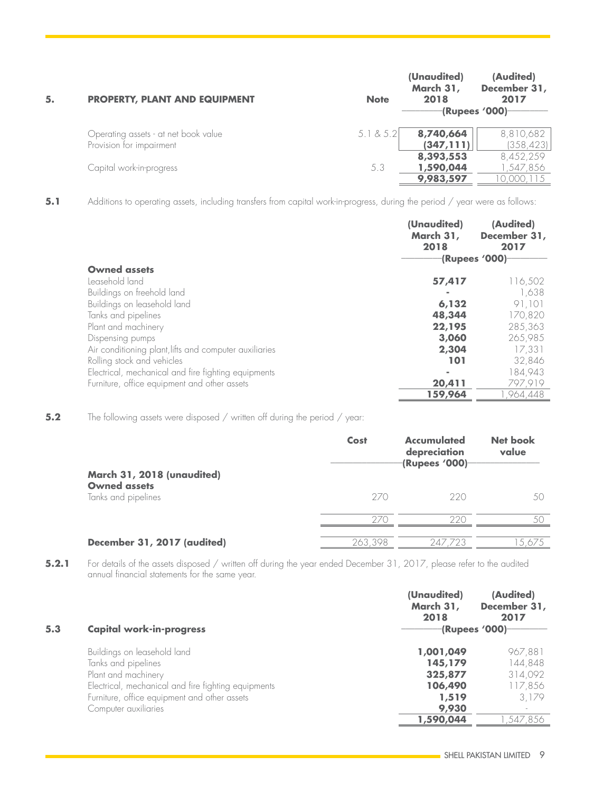| 5. | <b>PROPERTY, PLANT AND EQUIPMENT</b> | <b>Note</b> | (Unaudited)<br>March 31,<br>2018<br>(Rupees '000) | (Audited)<br>December 31,<br>2017 |
|----|--------------------------------------|-------------|---------------------------------------------------|-----------------------------------|
|    | Operating assets - at net book value | 5.1 & 8.5.2 | 8,740,664                                         | 8,810,682                         |
|    | Provision for impairment             |             | (347, 111)                                        | (358, 423)                        |
|    |                                      |             | 8,393,553                                         | 8,452,259                         |
|    | Capital work-in-progress             | 5.3         | 1,590,044                                         | ,547,856                          |
|    |                                      |             | 9,983,597                                         | 0,000,115                         |

**5.1** Additions to operating assets, including transfers from capital work-in-progress, during the period / year were as follows:

|                                                        | (Unaudited)<br>March 31,<br>2018 | (Audited)<br>December 31,<br>2017<br>(Rupees '000) |
|--------------------------------------------------------|----------------------------------|----------------------------------------------------|
| <b>Owned assets</b>                                    |                                  |                                                    |
| Leasehold land                                         | 57,417                           | 116,502                                            |
| Buildings on freehold land                             |                                  | 1,638                                              |
| Buildings on leasehold land                            | 6,132                            | 91,101                                             |
| Tanks and pipelines                                    | 48,344                           | 170.820                                            |
| Plant and machinery                                    | 22,195                           | 285,363                                            |
| Dispensing pumps                                       | 3,060                            | 265,985                                            |
| Air conditioning plant, lifts and computer auxiliaries | 2,304                            | 17,331                                             |
| Rolling stock and vehicles                             | 101                              | 32,846                                             |
| Electrical, mechanical and fire fighting equipments    | $\sim$                           | 184,943                                            |
| Furniture, office equipment and other assets           | 20,411                           | 797,919                                            |
|                                                        | 159,964                          | ,964,448                                           |

**5.2** The following assets were disposed / written off during the period / year:

|                                                                          | Cost    | <b>Accumulated</b><br>depreciation<br><b>(Rupees '000)</b> | <b>Net book</b><br>value |
|--------------------------------------------------------------------------|---------|------------------------------------------------------------|--------------------------|
| March 31, 2018 (unaudited)<br><b>Owned assets</b><br>Tanks and pipelines | 270     | -220                                                       | 50                       |
|                                                                          | 270     | 220                                                        | $\wedge$ (               |
| December 31, 2017 (audited)                                              | 263.398 | 247                                                        | 5.675                    |

**5.2.1** For details of the assets disposed / written off during the year ended December 31, 2017, please refer to the audited annual financial statements for the same year.

|     |                                                     | (Unaudited)<br>March 31,<br>2018 | (Audited)<br>December 31,<br>2017 |
|-----|-----------------------------------------------------|----------------------------------|-----------------------------------|
| 5.3 | <b>Capital work-in-progress</b>                     |                                  | -(Rupees '000)                    |
|     | Buildings on leasehold land                         | 1,001,049                        | 967,881                           |
|     | Tanks and pipelines                                 | 145,179                          | 144,848                           |
|     | Plant and machinery                                 | 325,877                          | 314,092                           |
|     | Electrical, mechanical and fire fighting equipments | 106,490                          | 117,856                           |
|     | Furniture, office equipment and other assets        | 1,519                            | 3.179                             |
|     | Computer auxiliaries                                | 9,930                            | $\overline{\phantom{a}}$          |
|     |                                                     | 1,590,044                        | .547.856                          |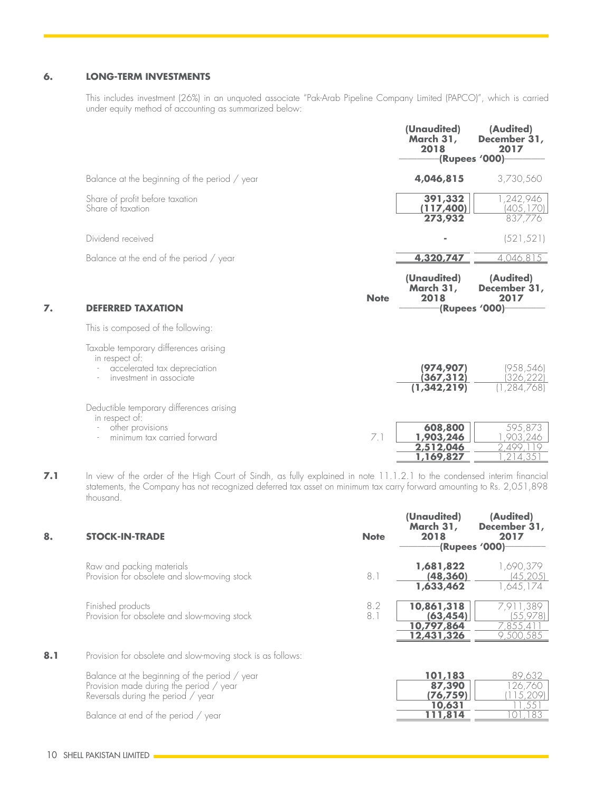#### **6. LONG-TERM INVESTMENTS**

This includes investment (26%) in an unquoted associate "Pak-Arab Pipeline Company Limited (PAPCO)", which is carried under equity method of accounting as summarized below:

|    |                                                                                                                    |             | (Unaudited)<br>March 31,<br>2018               | (Audited)<br>December 31,<br>2017<br>(Rupees '000)  |
|----|--------------------------------------------------------------------------------------------------------------------|-------------|------------------------------------------------|-----------------------------------------------------|
|    | Balance at the beginning of the period / year                                                                      |             | 4,046,815                                      | 3,730,560                                           |
|    | Share of profit before taxation<br>Share of taxation                                                               |             | 391,332<br>(117,400)                           | 1,242,946<br>(405, 170)                             |
|    |                                                                                                                    |             | 273,932                                        | 837,776                                             |
|    | Dividend received                                                                                                  |             |                                                | (521, 521)                                          |
|    | Balance at the end of the period / year                                                                            |             | 4,320,747                                      | 4,046,815                                           |
| 7. | <b>DEFERRED TAXATION</b>                                                                                           | <b>Note</b> | (Unaudited)<br>March 31,<br>2018               | (Audited)<br>December 31,<br>2017<br>(Rupees '000)- |
|    | This is composed of the following:                                                                                 |             |                                                |                                                     |
|    | Taxable temporary differences arising<br>in respect of:<br>accelerated tax depreciation<br>investment in associate |             | (974, 907)<br>(367,312)<br>(1, 342, 219)       | (958, 546)<br>(326, 222)<br>,284,768)               |
|    | Deductible temporary differences arising<br>in respect of:<br>other provisions<br>minimum tax carried forward      | 7.1         | 608,800<br>1,903,246<br>2,512,046<br>1,169,827 | 595,873<br>,903,246<br>2,499,119<br>214,35          |

7.1 In view of the order of the High Court of Sindh, as fully explained in note 11.1.2.1 to the condensed interim financial statements, the Company has not recognized deferred tax asset on minimum tax carry forward amounting to Rs. 2,051,898 thousand.

| 8.  | <b>STOCK-IN-TRADE</b>                                                                                                          | <b>Note</b> | (Unaudited)<br>March 31,<br>2018<br>(Rupees '000)   | (Audited)<br>December 31,<br>2017               |
|-----|--------------------------------------------------------------------------------------------------------------------------------|-------------|-----------------------------------------------------|-------------------------------------------------|
|     | Raw and packing materials<br>Provision for obsolete and slow-moving stock                                                      | 8.1         | 1,681,822<br>(48, 360)<br>1,633,462                 | 1,690,379<br>(45, 205)<br>1,645,174             |
|     | Finished products<br>Provision for obsolete and slow-moving stock                                                              | 8.2<br>8.1  | 10,861,318<br>(63, 454)<br>10,797,864<br>12,431,326 | 7,911,389<br>(55, 978)<br>7,855,41<br>9,500,585 |
| 8.1 | Provision for obsolete and slow-moving stock is as follows:                                                                    |             |                                                     |                                                 |
|     | Balance at the beginning of the period / year<br>Provision made during the period / year<br>Reversals during the period / year |             | 101,183<br>87,390<br>(76, 759)<br>10,631            | 89,632<br>126,760<br>15,209<br>.551             |
|     | Balance at end of the period / year                                                                                            |             | 111,814                                             | 183                                             |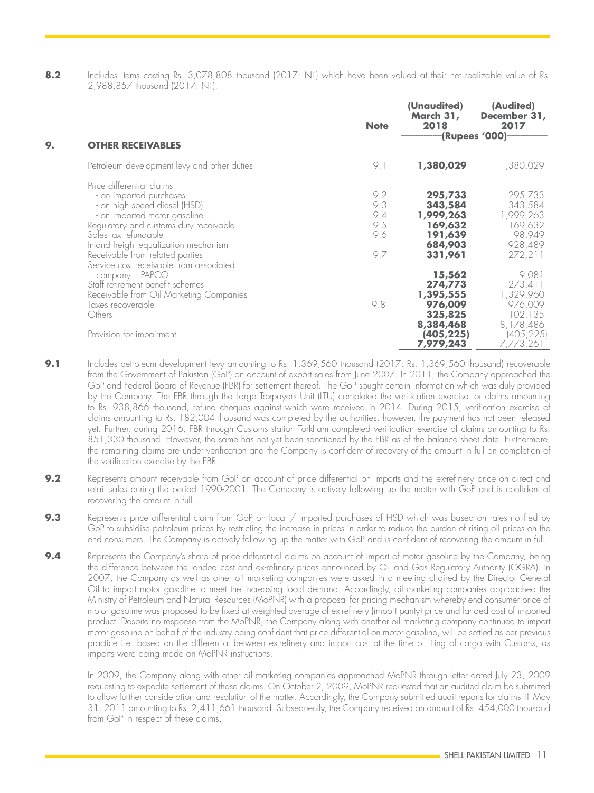**8.2** Includes items costing Rs. 3,078,808 thousand (2017: Nil) which have been valued at their net realizable value of Rs. 2,988,857 thousand (2017: Nil).

| 9. | <b>OTHER RECEIVABLES</b>                    | <b>Note</b> | (Unaudited)<br>March 31,<br>2018 | (Audited)<br>December 31,<br>2017<br>(Rupees '000) |
|----|---------------------------------------------|-------------|----------------------------------|----------------------------------------------------|
|    |                                             |             |                                  |                                                    |
|    | Petroleum development levy and other duties | 9.1         | 1,380,029                        | 1,380,029                                          |
|    | Price differential claims                   |             |                                  |                                                    |
|    | - on imported purchases                     | 9.2         | 295,733                          | 295,733                                            |
|    | - on high speed diesel (HSD)                | 9.3         | 343,584                          | 343,584                                            |
|    | - on imported motor gasoline                | 9.4         | 1,999,263                        | 1,999,263                                          |
|    | Regulatory and customs duty receivable      | 9.5         | 169,632                          | 169,632                                            |
|    | Sales tax refundable                        | 9.6         | 191,639                          | 98,949                                             |
|    | Inland freight equalization mechanism       |             | 684,903                          | 928,489                                            |
|    | Receivable from related parties             | 9.7         | 331,961                          | 272,211                                            |
|    | Service cost receivable from associated     |             |                                  |                                                    |
|    | $company - PAPCO$                           |             | 15,562                           | 9,081                                              |
|    | Staff retirement benefit schemes            |             | 274,773                          | 273,411                                            |
|    | Receivable from Oil Marketing Companies     |             | 1,395,555                        | 1,329,960                                          |
|    | Taxes recoverable                           | 9.8         | 976,009                          | 976,009                                            |
|    | Others                                      |             | 325,825                          | 102, 135                                           |
|    | Provision for impairment                    |             | 8,384,468<br>(405, 225)          | 8,178,486<br>(405,225)                             |
|    |                                             |             | 7,979,243                        | 7,773,261                                          |
|    |                                             |             |                                  |                                                    |

- **9.1** Includes petroleum development levy amounting to Rs. 1,369,560 thousand (2017: Rs. 1,369,560 thousand) recoverable from the Government of Pakistan (GoP) on account of export sales from June 2007. In 2011, the Company approached the GoP and Federal Board of Revenue (FBR) for settlement thereof. The GoP sought certain information which was duly provided by the Company. The FBR through the Large Taxpayers Unit (LTU) completed the verification exercise for claims amounting to Rs. 938,866 thousand, refund cheques against which were received in 2014. During 2015, verification exercise of claims amounting to Rs. 182,004 thousand was completed by the authorities, however, the payment has not been released yet. Further, during 2016, FBR through Customs station Torkham completed verification exercise of claims amounting to Rs. 851,330 thousand. However, the same has not yet been sanctioned by the FBR as of the balance sheet date. Furthermore, the remaining claims are under verification and the Company is confident of recovery of the amount in full on completion of the verification exercise by the FBR.
- **9.2** Represents amount receivable from GoP on account of price differential on imports and the ex-refinery price on direct and retail sales during the period 1990-2001. The Company is actively following up the matter with GoP and is confident of recovering the amount in full.
- **9.3** Represents price differential claim from GoP on local / imported purchases of HSD which was based on rates notified by GoP to subsidise petroleum prices by restricting the increase in prices in order to reduce the burden of rising oil prices on the end consumers. The Company is actively following up the matter with GoP and is confident of recovering the amount in full.
- **9.4** Represents the Company's share of price differential claims on account of import of motor gasoline by the Company, being the difference between the landed cost and ex-refinery prices announced by Oil and Gas Regulatory Authority (OGRA). In 2007, the Company as well as other oil marketing companies were asked in a meeting chaired by the Director General Oil to import motor gasoline to meet the increasing local demand. Accordingly, oil marketing companies approached the Ministry of Petroleum and Natural Resources (MoPNR) with a proposal for pricing mechanism whereby end consumer price of motor gasoline was proposed to be fixed at weighted average of ex-refinery (import parity) price and landed cost of imported product. Despite no response from the MoPNR, the Company along with another oil marketing company continued to import motor gasoline on behalf of the industry being confident that price differential on motor gasoline, will be settled as per previous practice i.e. based on the differential between ex-refinery and import cost at the time of filing of cargo with Customs, as imports were being made on MoPNR instructions.

In 2009, the Company along with other oil marketing companies approached MoPNR through letter dated July 23, 2009 requesting to expedite settlement of these claims. On October 2, 2009, MoPNR requested that an audited claim be submitted to allow further consideration and resolution of the matter. Accordingly, the Company submitted audit reports for claims till May 31, 2011 amounting to Rs. 2,411,661 thousand. Subsequently, the Company received an amount of Rs. 454,000 thousand from GoP in respect of these claims.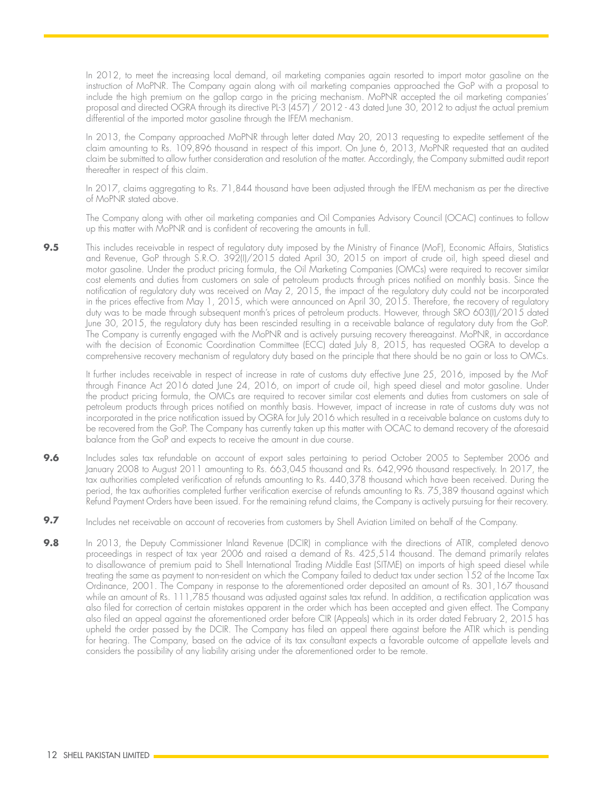In 2012, to meet the increasing local demand, oil marketing companies again resorted to import motor gasoline on the instruction of MoPNR. The Company again along with oil marketing companies approached the GoP with a proposal to include the high premium on the gallop cargo in the pricing mechanism. MoPNR accepted the oil marketing companies' proposal and directed OGRA through its directive PL-3 (457) / 2012 - 43 dated June 30, 2012 to adjust the actual premium differential of the imported motor gasoline through the IFEM mechanism.

In 2013, the Company approached MoPNR through letter dated May 20, 2013 requesting to expedite settlement of the claim amounting to Rs. 109,896 thousand in respect of this import. On June 6, 2013, MoPNR requested that an audited claim be submitted to allow further consideration and resolution of the matter. Accordingly, the Company submitted audit report thereafter in respect of this claim.

In 2017, claims aggregating to Rs. 71,844 thousand have been adjusted through the IFEM mechanism as per the directive of MoPNR stated above.

The Company along with other oil marketing companies and Oil Companies Advisory Council (OCAC) continues to follow up this matter with MoPNR and is confident of recovering the amounts in full.

9.5 This includes receivable in respect of regulatory duty imposed by the Ministry of Finance (MoF), Economic Affairs, Statistics and Revenue, GoP through S.R.O. 392(I)/2015 dated April 30, 2015 on import of crude oil, high speed diesel and motor gasoline. Under the product pricing formula, the Oil Marketing Companies (OMCs) were required to recover similar cost elements and duties from customers on sale of petroleum products through prices notified on monthly basis. Since the notification of regulatory duty was received on May 2, 2015, the impact of the regulatory duty could not be incorporated in the prices effective from May 1, 2015, which were announced on April 30, 2015. Therefore, the recovery of regulatory duty was to be made through subsequent month's prices of petroleum products. However, through SRO 603(I)/2015 dated June 30, 2015, the regulatory duty has been rescinded resulting in a receivable balance of regulatory duty from the GoP. The Company is currently engaged with the MoPNR and is actively pursuing recovery thereagainst. MoPNR, in accordance with the decision of Economic Coordination Committee (ECC) dated July 8, 2015, has requested OGRA to develop a comprehensive recovery mechanism of regulatory duty based on the principle that there should be no gain or loss to OMCs.

It further includes receivable in respect of increase in rate of customs duty effective June 25, 2016, imposed by the MoF through Finance Act 2016 dated June 24, 2016, on import of crude oil, high speed diesel and motor gasoline. Under the product pricing formula, the OMCs are required to recover similar cost elements and duties from customers on sale of petroleum products through prices notified on monthly basis. However, impact of increase in rate of customs duty was not incorporated in the price notification issued by OGRA for July 2016 which resulted in a receivable balance on customs duty to be recovered from the GoP. The Company has currently taken up this matter with OCAC to demand recovery of the aforesaid balance from the GoP and expects to receive the amount in due course.

- **9.6** Includes sales tax refundable on account of export sales pertaining to period October 2005 to September 2006 and January 2008 to August 2011 amounting to Rs. 663,045 thousand and Rs. 642,996 thousand respectively. In 2017, the tax authorities completed verification of refunds amounting to Rs. 440,378 thousand which have been received. During the period, the tax authorities completed further verification exercise of refunds amounting to Rs. 75,389 thousand against which Refund Payment Orders have been issued. For the remaining refund claims, the Company is actively pursuing for their recovery.
- **9.7** Includes net receivable on account of recoveries from customers by Shell Aviation Limited on behalf of the Company.
- **9.8** In 2013, the Deputy Commissioner Inland Revenue (DCIR) in compliance with the directions of ATIR, completed denovo proceedings in respect of tax year 2006 and raised a demand of Rs. 425,514 thousand. The demand primarily relates to disallowance of premium paid to Shell International Trading Middle East (SITME) on imports of high speed diesel while treating the same as payment to non-resident on which the Company failed to deduct tax under section 152 of the Income Tax Ordinance, 2001. The Company in response to the aforementioned order deposited an amount of Rs. 301,167 thousand while an amount of Rs. 111,785 thousand was adjusted against sales tax refund. In addition, a rectification application was also filed for correction of certain mistakes apparent in the order which has been accepted and given effect. The Company also filed an appeal against the aforementioned order before CIR (Appeals) which in its order dated February 2, 2015 has upheld the order passed by the DCIR. The Company has filed an appeal there against before the ATIR which is pending for hearing. The Company, based on the advice of its tax consultant expects a favorable outcome of appellate levels and considers the possibility of any liability arising under the aforementioned order to be remote.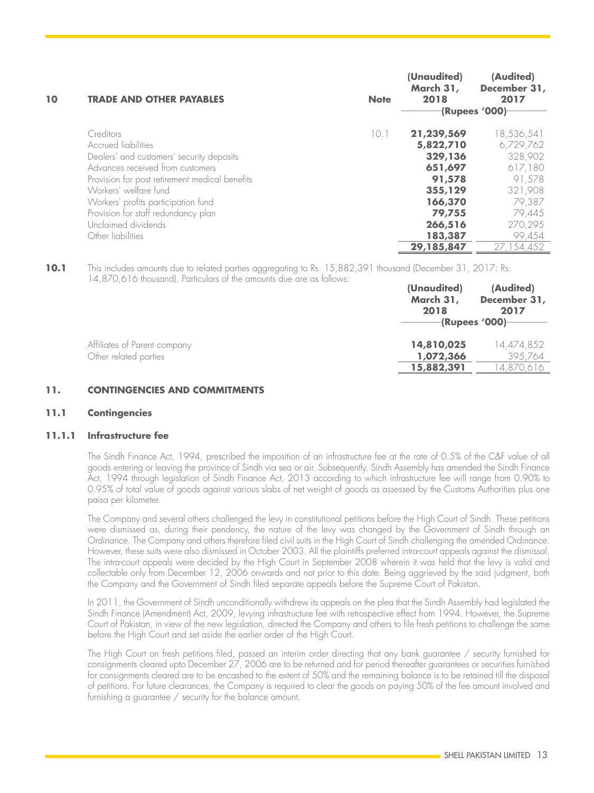| 10 | <b>TRADE AND OTHER PAYABLES</b>                                                                                                                                                                                                                                                                                        | <b>Note</b> | (Unaudited)<br>March 31,<br>2018                                                                                            | (Audited)<br>December 31,<br>2017<br>(Rupees '000)                                                                        |
|----|------------------------------------------------------------------------------------------------------------------------------------------------------------------------------------------------------------------------------------------------------------------------------------------------------------------------|-------------|-----------------------------------------------------------------------------------------------------------------------------|---------------------------------------------------------------------------------------------------------------------------|
|    | Creditors<br>Accrued liabilities<br>Dealers' and customers' security deposits<br>Advances received from customers<br>Provision for post retirement medical benefits<br>Workers' welfare fund<br>Workers' profits participation fund<br>Provision for staff redundancy plan<br>Unclaimed dividends<br>Other liabilities | 10.1        | 21,239,569<br>5,822,710<br>329,136<br>651,697<br>91,578<br>355,129<br>166,370<br>79,755<br>266,516<br>183,387<br>29,185,847 | 18,536,541<br>6,729,762<br>328,902<br>617,180<br>91.578<br>321,908<br>79,387<br>79,445<br>270,295<br>99,454<br>27.154.452 |

**10.1** This includes amounts due to related parties aggregating to Rs. 15,882,391 thousand (December 31, 2017: Rs. 14,870,616 thousand). Particulars of the amounts due are as follows:

|                                                       | (Unaudited)<br>March 31,<br>2018      | (Audited)<br>December 31,<br>2017<br>-(Rupees '000)—— |
|-------------------------------------------------------|---------------------------------------|-------------------------------------------------------|
| Affiliates of Parent company<br>Other related parties | 14,810,025<br>1,072,366<br>15,882,391 | 14,474,852<br>395.764<br>4,870,616                    |

#### **11. CONTINGENCIES AND COMMITMENTS**

#### **11.1 Contingencies**

#### **11.1.1 Infrastructure fee**

The Sindh Finance Act, 1994, prescribed the imposition of an infrastructure fee at the rate of 0.5% of the C&F value of all goods entering or leaving the province of Sindh via sea or air. Subsequently, Sindh Assembly has amended the Sindh Finance Act, 1994 through legislation of Sindh Finance Act, 2013 according to which infrastructure fee will range from 0.90% to 0.95% of total value of goods against various slabs of net weight of goods as assessed by the Customs Authorities plus one paisa per kilometer.

The Company and several others challenged the levy in constitutional petitions before the High Court of Sindh. These petitions were dismissed as, during their pendency, the nature of the levy was changed by the Government of Sindh through an Ordinance. The Company and others therefore filed civil suits in the High Court of Sindh challenging the amended Ordinance. However, these suits were also dismissed in October 2003. All the plaintiffs preferred intra-court appeals against the dismissal. The intra-court appeals were decided by the High Court in September 2008 wherein it was held that the levy is valid and collectable only from December 12, 2006 onwards and not prior to this date. Being aggrieved by the said judgment, both the Company and the Government of Sindh filed separate appeals before the Supreme Court of Pakistan.

In 2011, the Government of Sindh unconditionally withdrew its appeals on the plea that the Sindh Assembly had legislated the Sindh Finance (Amendment) Act, 2009, levying infrastructure fee with retrospective effect from 1994. However, the Supreme Court of Pakistan, in view of the new legislation, directed the Company and others to file fresh petitions to challenge the same before the High Court and set aside the earlier order of the High Court.

The High Court on fresh petitions filed, passed an interim order directing that any bank guarantee / security furnished for consignments cleared upto December 27, 2006 are to be returned and for period thereafter guarantees or securities furnished for consignments cleared are to be encashed to the extent of 50% and the remaining balance is to be retained till the disposal of petitions. For future clearances, the Company is required to clear the goods on paying 50% of the fee amount involved and furnishing a guarantee / security for the balance amount.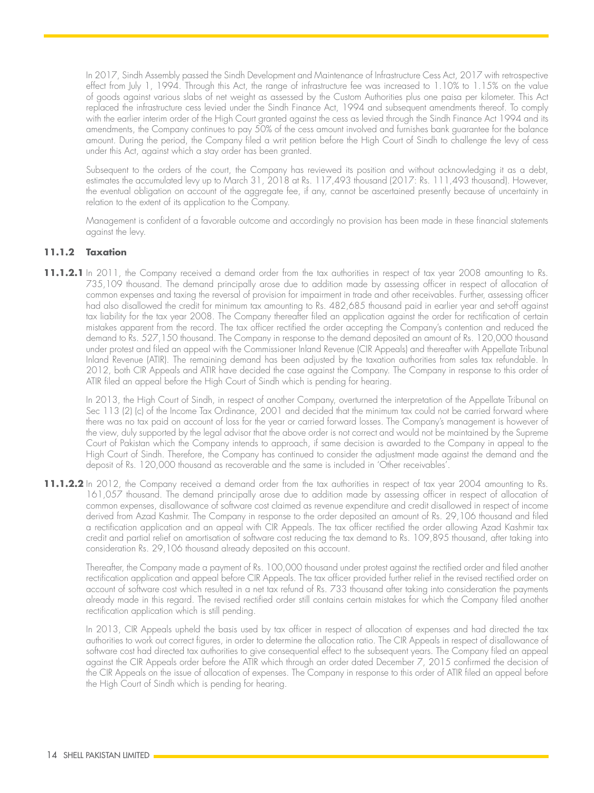In 2017, Sindh Assembly passed the Sindh Development and Maintenance of Infrastructure Cess Act, 2017 with retrospective effect from July 1, 1994. Through this Act, the range of infrastructure fee was increased to 1.10% to 1.15% on the value of goods against various slabs of net weight as assessed by the Custom Authorities plus one paisa per kilometer. This Act replaced the infrastructure cess levied under the Sindh Finance Act, 1994 and subsequent amendments thereof. To comply with the earlier interim order of the High Court granted against the cess as levied through the Sindh Finance Act 1994 and its amendments, the Company continues to pay 50% of the cess amount involved and furnishes bank guarantee for the balance amount. During the period, the Company filed a writ petition before the High Court of Sindh to challenge the levy of cess under this Act, against which a stay order has been granted.

Subsequent to the orders of the court, the Company has reviewed its position and without acknowledging it as a debt, estimates the accumulated levy up to March 31, 2018 at Rs. 117,493 thousand (2017: Rs. 111,493 thousand). However, the eventual obligation on account of the aggregate fee, if any, cannot be ascertained presently because of uncertainty in relation to the extent of its application to the Company.

Management is confident of a favorable outcome and accordingly no provision has been made in these financial statements against the levy.

#### **11.1.2 Taxation**

**11.1.2.1** In 2011, the Company received a demand order from the tax authorities in respect of tax year 2008 amounting to Rs. 735,109 thousand. The demand principally arose due to addition made by assessing officer in respect of allocation of common expenses and taxing the reversal of provision for impairment in trade and other receivables. Further, assessing officer had also disallowed the credit for minimum tax amounting to Rs. 482,685 thousand paid in earlier year and set-off against tax liability for the tax year 2008. The Company thereafter filed an application against the order for rectification of certain mistakes apparent from the record. The tax officer rectified the order accepting the Company's contention and reduced the demand to Rs. 527,150 thousand. The Company in response to the demand deposited an amount of Rs. 120,000 thousand under protest and filed an appeal with the Commissioner Inland Revenue (CIR Appeals) and thereafter with Appellate Tribunal Inland Revenue (ATIR). The remaining demand has been adjusted by the taxation authorities from sales tax refundable. In 2012, both CIR Appeals and ATIR have decided the case against the Company. The Company in response to this order of ATIR filed an appeal before the High Court of Sindh which is pending for hearing.

In 2013, the High Court of Sindh, in respect of another Company, overturned the interpretation of the Appellate Tribunal on Sec 113 (2) (c) of the Income Tax Ordinance, 2001 and decided that the minimum tax could not be carried forward where there was no tax paid on account of loss for the year or carried forward losses. The Company's management is however of the view, duly supported by the legal advisor that the above order is not correct and would not be maintained by the Supreme Court of Pakistan which the Company intends to approach, if same decision is awarded to the Company in appeal to the High Court of Sindh. Therefore, the Company has continued to consider the adjustment made against the demand and the deposit of Rs. 120,000 thousand as recoverable and the same is included in 'Other receivables'.

**11.1.2.2** In 2012, the Company received a demand order from the tax authorities in respect of tax year 2004 amounting to Rs. 161,057 thousand. The demand principally arose due to addition made by assessing officer in respect of allocation of common expenses, disallowance of software cost claimed as revenue expenditure and credit disallowed in respect of income derived from Azad Kashmir. The Company in response to the order deposited an amount of Rs. 29,106 thousand and filed a rectification application and an appeal with CIR Appeals. The tax officer rectified the order allowing Azad Kashmir tax credit and partial relief on amortisation of software cost reducing the tax demand to Rs. 109,895 thousand, after taking into consideration Rs. 29,106 thousand already deposited on this account.

Thereafter, the Company made a payment of Rs. 100,000 thousand under protest against the rectified order and filed another rectification application and appeal before CIR Appeals. The tax officer provided further relief in the revised rectified order on account of software cost which resulted in a net tax refund of Rs. 733 thousand after taking into consideration the payments already made in this regard. The revised rectified order still contains certain mistakes for which the Company filed another rectification application which is still pending.

In 2013, CIR Appeals upheld the basis used by tax officer in respect of allocation of expenses and had directed the tax authorities to work out correct figures, in order to determine the allocation ratio. The CIR Appeals in respect of disallowance of software cost had directed tax authorities to give consequential effect to the subsequent years. The Company filed an appeal against the CIR Appeals order before the ATIR which through an order dated December 7, 2015 confirmed the decision of the CIR Appeals on the issue of allocation of expenses. The Company in response to this order of ATIR filed an appeal before the High Court of Sindh which is pending for hearing.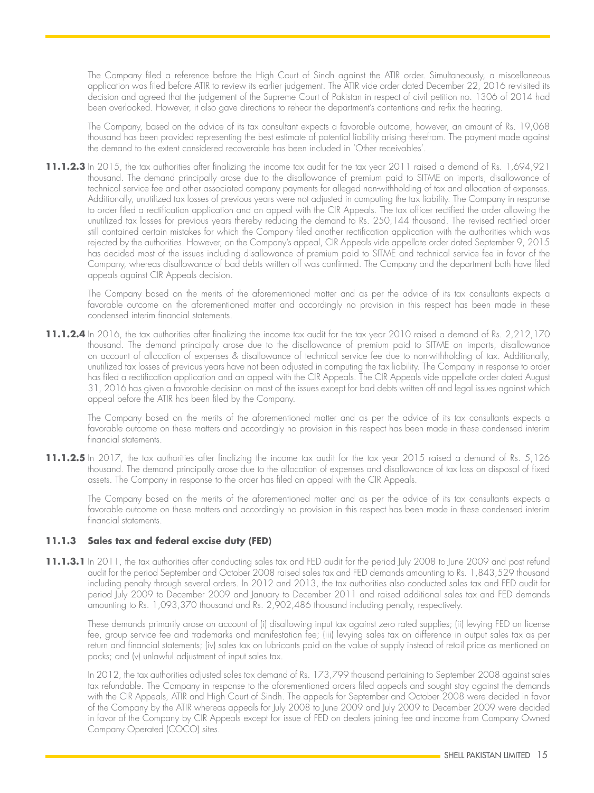The Company filed a reference before the High Court of Sindh against the ATIR order. Simultaneously, a miscellaneous application was filed before ATIR to review its earlier judgement. The ATIR vide order dated December 22, 2016 re-visited its decision and agreed that the judgement of the Supreme Court of Pakistan in respect of civil petition no. 1306 of 2014 had been overlooked. However, it also gave directions to rehear the department's contentions and re-fix the hearing.

The Company, based on the advice of its tax consultant expects a favorable outcome, however, an amount of Rs. 19,068 thousand has been provided representing the best estimate of potential liability arising therefrom. The payment made against the demand to the extent considered recoverable has been included in 'Other receivables'.

**11.1.2.3** In 2015, the tax authorities after finalizing the income tax audit for the tax year 2011 raised a demand of Rs. 1,694,921 thousand. The demand principally arose due to the disallowance of premium paid to SITME on imports, disallowance of technical service fee and other associated company payments for alleged non-withholding of tax and allocation of expenses. Additionally, unutilized tax losses of previous years were not adjusted in computing the tax liability. The Company in response to order filed a rectification application and an appeal with the CIR Appeals. The tax officer rectified the order allowing the unutilized tax losses for previous years thereby reducing the demand to Rs. 250,144 thousand. The revised rectified order still contained certain mistakes for which the Company filed another rectification application with the authorities which was rejected by the authorities. However, on the Company's appeal, CIR Appeals vide appellate order dated September 9, 2015 has decided most of the issues including disallowance of premium paid to SITME and technical service fee in favor of the Company, whereas disallowance of bad debts written off was confirmed. The Company and the department both have filed appeals against CIR Appeals decision.

The Company based on the merits of the aforementioned matter and as per the advice of its tax consultants expects a favorable outcome on the aforementioned matter and accordingly no provision in this respect has been made in these condensed interim financial statements.

**11.1.2.4** In 2016, the tax authorities after finalizing the income tax audit for the tax year 2010 raised a demand of Rs. 2,212,170 thousand. The demand principally arose due to the disallowance of premium paid to SITME on imports, disallowance on account of allocation of expenses & disallowance of technical service fee due to non-withholding of tax. Additionally, unutilized tax losses of previous years have not been adjusted in computing the tax liability. The Company in response to order has filed a rectification application and an appeal with the CIR Appeals. The CIR Appeals vide appellate order dated August 31, 2016 has given a favorable decision on most of the issues except for bad debts written off and legal issues against which appeal before the ATIR has been filed by the Company.

The Company based on the merits of the aforementioned matter and as per the advice of its tax consultants expects a favorable outcome on these matters and accordingly no provision in this respect has been made in these condensed interim financial statements.

11.1.2.5 In 2017, the tax authorities after finalizing the income tax audit for the tax year 2015 raised a demand of Rs. 5,126 thousand. The demand principally arose due to the allocation of expenses and disallowance of tax loss on disposal of fixed assets. The Company in response to the order has filed an appeal with the CIR Appeals.

The Company based on the merits of the aforementioned matter and as per the advice of its tax consultants expects a favorable outcome on these matters and accordingly no provision in this respect has been made in these condensed interim financial statements.

#### **11.1.3 Sales tax and federal excise duty (FED)**

**11.1.3.1** In 2011, the tax authorities after conducting sales tax and FED audit for the period July 2008 to June 2009 and post refund audit for the period September and October 2008 raised sales tax and FED demands amounting to Rs. 1,843,529 thousand including penalty through several orders. In 2012 and 2013, the tax authorities also conducted sales tax and FED audit for period July 2009 to December 2009 and January to December 2011 and raised additional sales tax and FED demands amounting to Rs. 1,093,370 thousand and Rs. 2,902,486 thousand including penalty, respectively.

These demands primarily arose on account of (i) disallowing input tax against zero rated supplies; (ii) levying FED on license fee, group service fee and trademarks and manifestation fee; (iii) levying sales tax on difference in output sales tax as per return and financial statements; (iv) sales tax on lubricants paid on the value of supply instead of retail price as mentioned on packs; and (v) unlawful adjustment of input sales tax.

In 2012, the tax authorities adjusted sales tax demand of Rs. 173,799 thousand pertaining to September 2008 against sales tax refundable. The Company in response to the aforementioned orders filed appeals and sought stay against the demands with the CIR Appeals, ATIR and High Court of Sindh. The appeals for September and October 2008 were decided in favor of the Company by the ATIR whereas appeals for July 2008 to June 2009 and July 2009 to December 2009 were decided in favor of the Company by CIR Appeals except for issue of FED on dealers joining fee and income from Company Owned Company Operated (COCO) sites.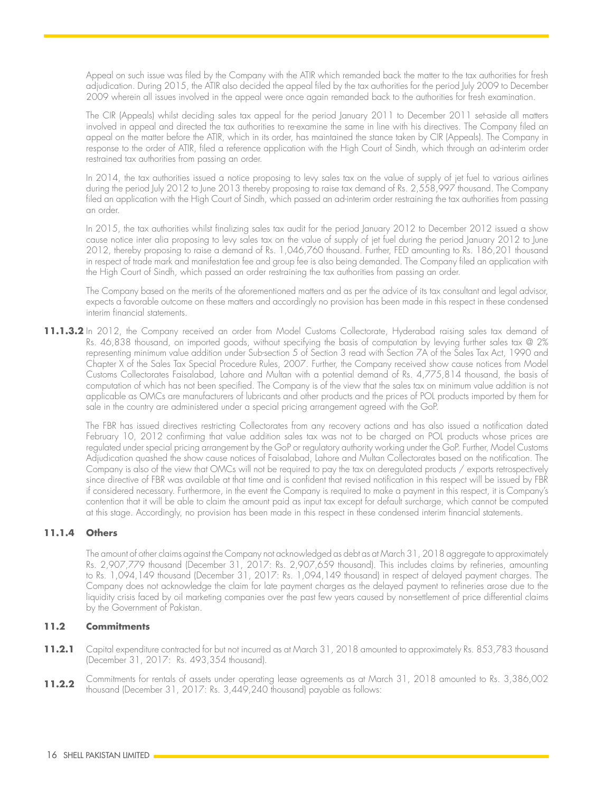Appeal on such issue was filed by the Company with the ATIR which remanded back the matter to the tax authorities for fresh adjudication. During 2015, the ATIR also decided the appeal filed by the tax authorities for the period July 2009 to December 2009 wherein all issues involved in the appeal were once again remanded back to the authorities for fresh examination.

The CIR (Appeals) whilst deciding sales tax appeal for the period January 2011 to December 2011 set-aside all matters involved in appeal and directed the tax authorities to re-examine the same in line with his directives. The Company filed an appeal on the matter before the ATIR, which in its order, has maintained the stance taken by CIR (Appeals). The Company in response to the order of ATIR, filed a reference application with the High Court of Sindh, which through an ad-interim order restrained tax authorities from passing an order.

In 2014, the tax authorities issued a notice proposing to levy sales tax on the value of supply of jet fuel to various airlines during the period July 2012 to June 2013 thereby proposing to raise tax demand of Rs. 2,558,997 thousand. The Company filed an application with the High Court of Sindh, which passed an ad-interim order restraining the tax authorities from passing an order.

In 2015, the tax authorities whilst finalizing sales tax audit for the period January 2012 to December 2012 issued a show cause notice inter alia proposing to levy sales tax on the value of supply of jet fuel during the period January 2012 to June 2012, thereby proposing to raise a demand of Rs. 1,046,760 thousand. Further, FED amounting to Rs. 186,201 thousand in respect of trade mark and manifestation fee and group fee is also being demanded. The Company filed an application with the High Court of Sindh, which passed an order restraining the tax authorities from passing an order.

The Company based on the merits of the aforementioned matters and as per the advice of its tax consultant and legal advisor, expects a favorable outcome on these matters and accordingly no provision has been made in this respect in these condensed interim financial statements.

**11.1.3.2** In 2012, the Company received an order from Model Customs Collectorate, Hyderabad raising sales tax demand of Rs. 46,838 thousand, on imported goods, without specifying the basis of computation by levying further sales tax @ 2% representing minimum value addition under Sub-section 5 of Section 3 read with Section 7A of the Sales Tax Act, 1990 and Chapter X of the Sales Tax Special Procedure Rules, 2007. Further, the Company received show cause notices from Model Customs Collectorates Faisalabad, Lahore and Multan with a potential demand of Rs. 4,775,814 thousand, the basis of computation of which has not been specified. The Company is of the view that the sales tax on minimum value addition is not applicable as OMCs are manufacturers of lubricants and other products and the prices of POL products imported by them for sale in the country are administered under a special pricing arrangement agreed with the GoP.

The FBR has issued directives restricting Collectorates from any recovery actions and has also issued a notification dated February 10, 2012 confirming that value addition sales tax was not to be charged on POL products whose prices are regulated under special pricing arrangement by the GoP or regulatory authority working under the GoP. Further, Model Customs Adjudication quashed the show cause notices of Faisalabad, Lahore and Multan Collectorates based on the notification. The Company is also of the view that OMCs will not be required to pay the tax on deregulated products / exports retrospectively since directive of FBR was available at that time and is confident that revised notification in this respect will be issued by FBR if considered necessary. Furthermore, in the event the Company is required to make a payment in this respect, it is Company's contention that it will be able to claim the amount paid as input tax except for default surcharge, which cannot be computed at this stage. Accordingly, no provision has been made in this respect in these condensed interim financial statements.

#### **11.1.4 Others**

The amount of other claims against the Company not acknowledged as debt as at March 31, 2018 aggregate to approximately Rs. 2,907,779 thousand (December 31, 2017: Rs. 2,907,659 thousand). This includes claims by refineries, amounting to Rs. 1,094,149 thousand (December 31, 2017: Rs. 1,094,149 thousand) in respect of delayed payment charges. The Company does not acknowledge the claim for late payment charges as the delayed payment to refineries arose due to the liquidity crisis faced by oil marketing companies over the past few years caused by non-settlement of price differential claims by the Government of Pakistan.

#### **11.2 Commitments**

- **11.2.1** Capital expenditure contracted for but not incurred as at March 31, 2018 amounted to approximately Rs. 853,783 thousand (December 31, 2017: Rs. 493,354 thousand).
- **11.2.2** Commitments for rentals of assets under operating lease agreements as at March 31, 2018 amounted to Rs. 3,386,002 thousand (December 31, 2017: Rs. 3,449,240 thousand) payable as follows: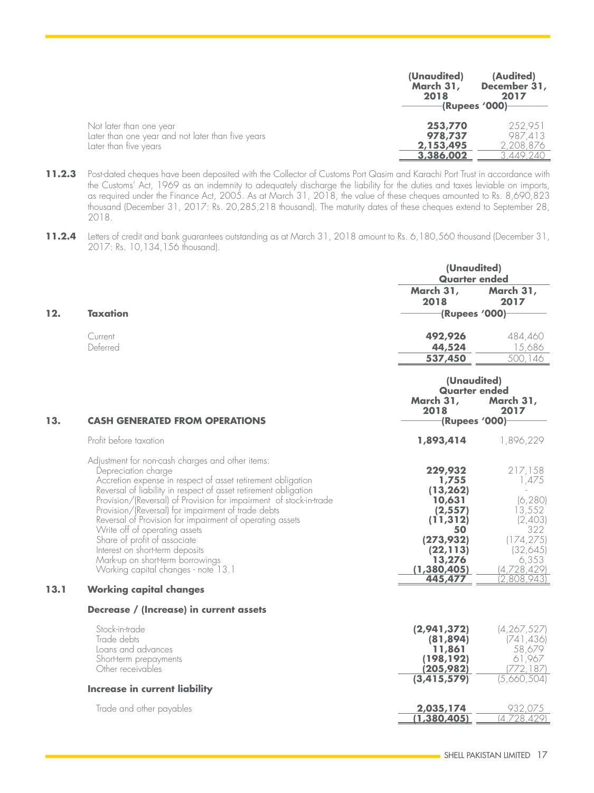|                                                   | (Unaudited)<br>March 31,<br>2018 | (Audited)<br>December 31,<br>2017<br>-(Rupees '000)- |
|---------------------------------------------------|----------------------------------|------------------------------------------------------|
| Not later than one year                           | 253,770                          | 252.951                                              |
| Later than one year and not later than five years | 978,737                          | 987.413                                              |
| Later than five years                             | 2,153,495                        | 2,208,876                                            |
|                                                   | 3,386,002                        | 3.449.240                                            |

- 11.2.3 Post-dated cheques have been deposited with the Collector of Customs Port Qasim and Karachi Port Trust in accordance with the Customs' Act, 1969 as an indemnity to adequately discharge the liability for the duties and taxes leviable on imports, as required under the Finance Act, 2005. As at March 31, 2018, the value of these cheques amounted to Rs. 8,690,823 thousand (December 31, 2017: Rs. 20,285,218 thousand). The maturity dates of these cheques extend to September 28, 2018.
- **11.2.4** Letters of credit and bank guarantees outstanding as at March 31, 2018 amount to Rs. 6,180,560 thousand (December 31, 2017: Rs. 10,134,156 thousand).

|     |                     |                                      | (Unaudited)<br><b>Quarter ended</b> |  |
|-----|---------------------|--------------------------------------|-------------------------------------|--|
| 12. | <b>Taxation</b>     | March 31,<br>2018<br>-(Rupees '000)- | March 31,<br>2017                   |  |
|     | Current<br>Deferred | 492,926<br>44,524<br>537,450         | 484,460<br>15,686<br>500,146        |  |

|      |                                                                                                                                                                                                                                                                                                                                                                                                                                                                                                                                                                                  | (Unaudited)<br><b>Quarter ended</b><br>March 31,<br>March 31,                                                                          |                                                                                                                           |
|------|----------------------------------------------------------------------------------------------------------------------------------------------------------------------------------------------------------------------------------------------------------------------------------------------------------------------------------------------------------------------------------------------------------------------------------------------------------------------------------------------------------------------------------------------------------------------------------|----------------------------------------------------------------------------------------------------------------------------------------|---------------------------------------------------------------------------------------------------------------------------|
| 13.  | <b>CASH GENERATED FROM OPERATIONS</b>                                                                                                                                                                                                                                                                                                                                                                                                                                                                                                                                            | 2018<br>-(Rupees '000)-                                                                                                                | 2017                                                                                                                      |
|      | Profit before taxation                                                                                                                                                                                                                                                                                                                                                                                                                                                                                                                                                           | 1,893,414                                                                                                                              | 1,896,229                                                                                                                 |
|      | Adjustment for non-cash charges and other items:<br>Depreciation charge<br>Accretion expense in respect of asset retirement obligation<br>Reversal of liability in respect of asset retirement obligation<br>Provision/(Reversal) of Provision for impairment of stock-in-trade<br>Provision/(Reversal) for impairment of trade debts<br>Reversal of Provision for impairment of operating assets<br>Write off of operating assets<br>Share of profit of associate<br>Interest on short-term deposits<br>Mark-up on short-term borrowings<br>Working capital changes - note 13.1 | 229,932<br>1,755<br>(13, 262)<br>10,631<br>(2, 557)<br>(11, 312)<br>50<br>(273,932)<br>(22, 113)<br>13,276<br>(1, 380, 405)<br>445,477 | 217,158<br>1,475<br>(6, 280)<br>13,552<br>(2,403)<br>322<br>(174, 275)<br>(32,645)<br>6,353<br>(4,728,429)<br>(2,808,943) |
| 13.1 | <b>Working capital changes</b>                                                                                                                                                                                                                                                                                                                                                                                                                                                                                                                                                   |                                                                                                                                        |                                                                                                                           |
|      | Decrease / (Increase) in current assets                                                                                                                                                                                                                                                                                                                                                                                                                                                                                                                                          |                                                                                                                                        |                                                                                                                           |
|      | Stock-in-trade<br>Trade debts<br>Loans and advances<br>Short-term prepayments<br>Other receivables<br>Increase in current liability                                                                                                                                                                                                                                                                                                                                                                                                                                              | (2,941,372)<br>(81, 894)<br>11,861<br>(198, 192)<br>(205,982)<br>(3, 415, 579)                                                         | (4, 267, 527)<br>(741, 436)<br>58,679<br>61,967<br>(772,187)<br>(5,660,504)                                               |
|      | Trade and other payables                                                                                                                                                                                                                                                                                                                                                                                                                                                                                                                                                         | 2,035,174                                                                                                                              | 932,075                                                                                                                   |
|      |                                                                                                                                                                                                                                                                                                                                                                                                                                                                                                                                                                                  | 1,380,405                                                                                                                              | (4,728,429)                                                                                                               |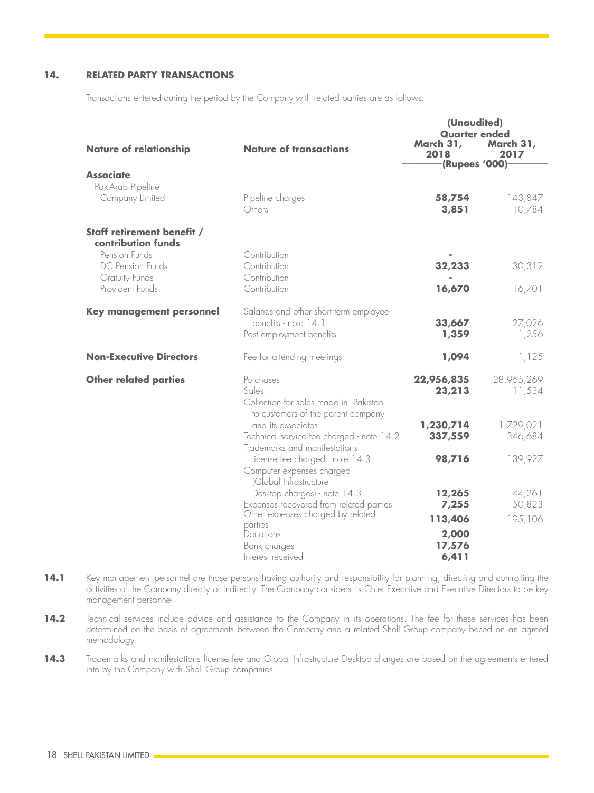#### **14. RELATED PARTY TRANSACTIONS**

Transactions entered during the period by the Company with related parties are as follows:

|                                                     |                                                                                                              | (Unaudited)                                                |                      |
|-----------------------------------------------------|--------------------------------------------------------------------------------------------------------------|------------------------------------------------------------|----------------------|
| <b>Nature of relationship</b>                       | <b>Nature of transactions</b>                                                                                | <b>Quarter ended</b><br>March 31,<br>2018<br>(Rupees '000) | March 31,<br>2017    |
| <b>Associate</b>                                    |                                                                                                              |                                                            |                      |
| Pak-Arab Pipeline<br>Company Limited                | Pipeline charges<br>Others                                                                                   | 58,754<br>3,851                                            | 143,847<br>10,784    |
| Staff retirement benefit /<br>contribution funds    |                                                                                                              |                                                            |                      |
| Pension Funds<br>DC Pension Funds<br>Gratuity Funds | Contribution<br>Contribution<br>Contribution                                                                 | 32,233                                                     | 30, 312              |
| Provident Funds                                     | Contribution                                                                                                 | 16,670                                                     | 16,701               |
| <b>Key management personnel</b>                     | Salaries and other short term employee<br>benefits - note 14.1<br>Post employment benefits                   | 33,667<br>1,359                                            | 27,026<br>1,256      |
| <b>Non-Executive Directors</b>                      | Fee for attending meetings                                                                                   | 1,094                                                      | 1,125                |
| <b>Other related parties</b>                        | Purchases<br>Sales<br>Collection for sales made in Pakistan<br>to customers of the parent company            | 22,956,835<br>23,213                                       | 28,965,269<br>11,534 |
|                                                     | and its associates<br>Technical service fee charged - note 14.2<br>Trademarks and manifestations             | 1,230,714<br>337,559                                       | 1,729,021<br>346,684 |
|                                                     | license fee charged - note 14.3<br>Computer expenses charged<br>(Global Infrastructure                       | 98,716                                                     | 139,927              |
|                                                     | Desktop charges) - note 14.3<br>Expenses recovered from related parties<br>Other expenses charged by related | 12,265<br>7,255                                            | 44,261<br>50,823     |
|                                                     | parties<br>Donations<br>Bank charges<br>Interest received                                                    | 113,406<br>2,000<br>17,576<br>6,411                        | 195,106              |

- 14.1 Key management personnel are those persons having authority and responsibility for planning, directing and controlling the activities of the Company directly or indirectly. The Company considers its Chief Executive and Executive Directors to be key management personnel.
- 14.2 Technical services include advice and assistance to the Company in its operations. The fee for these services has been determined on the basis of agreements between the Company and a related Shell Group company based on an agreed methodology.
- 14.3 Trademarks and manifestations license fee and Global Infrastructure Desktop charges are based on the agreements entered into by the Company with Shell Group companies.